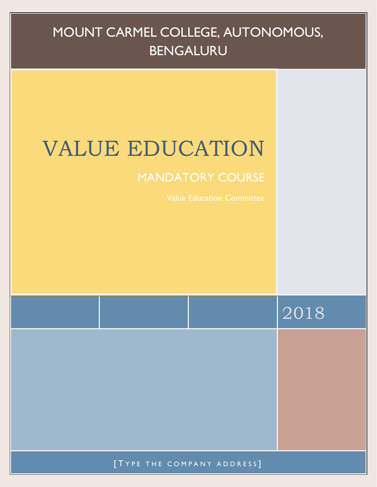## MOUNT CARMEL COLLEGE, AUTONOMOUS, BENGALURU

# VALUE EDUCATION

## MANDATORY COURSE

|                            | 2018 |
|----------------------------|------|
|                            |      |
|                            |      |
|                            |      |
|                            |      |
| [TYPE THE COMPANY ADDRESS] |      |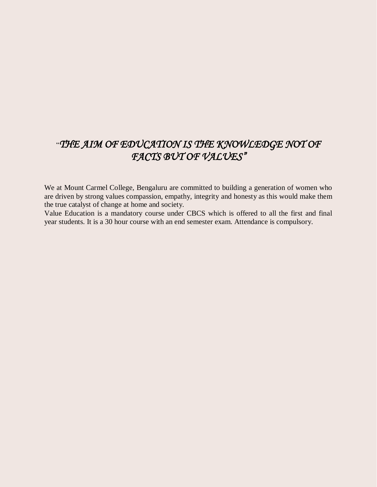### "*THE AIM OF EDUCATION IS THE KNOWLEDGE NOT OF FACTS BUT OF VALUES"*

We at Mount Carmel College, Bengaluru are committed to building a generation of women who are driven by strong values compassion, empathy, integrity and honesty as this would make them the true catalyst of change at home and society.

Value Education is a mandatory course under CBCS which is offered to all the first and final year students. It is a 30 hour course with an end semester exam. Attendance is compulsory.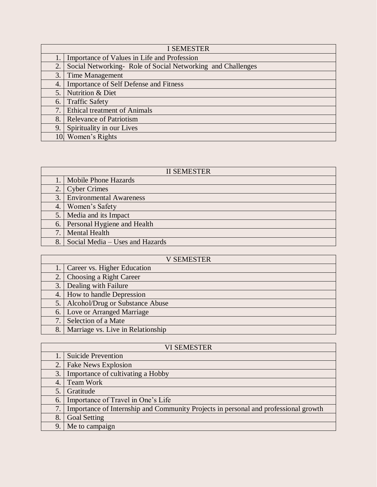| <b>I SEMESTER</b> |                                                              |  |
|-------------------|--------------------------------------------------------------|--|
|                   | Importance of Values in Life and Profession                  |  |
| 2.                | Social Networking - Role of Social Networking and Challenges |  |
| 3.                | <b>Time Management</b>                                       |  |
| $\overline{4}$    | <b>Importance of Self Defense and Fitness</b>                |  |
| 5.                | Nutrition & Diet                                             |  |
| 6.                | <b>Traffic Safety</b>                                        |  |
| 7.                | <b>Ethical treatment of Animals</b>                          |  |
| 8.                | <b>Relevance of Patriotism</b>                               |  |
| 9.                | Spirituality in our Lives                                    |  |
| 10.               | Women's Rights                                               |  |

|     | <b>II SEMESTER</b>              |
|-----|---------------------------------|
|     | <b>Mobile Phone Hazards</b>     |
|     | 2. Cyber Crimes                 |
|     | 3. Environmental Awareness      |
| 4.1 | Women's Safety                  |
| 5.  | Media and its Impact            |
|     | 6. Personal Hygiene and Health  |
| 7.1 | <b>Mental Health</b>            |
| 8.  | Social Media - Uses and Hazards |

| <b>V SEMESTER</b> |                                   |  |
|-------------------|-----------------------------------|--|
|                   | Career vs. Higher Education       |  |
| 2.1               | Choosing a Right Career           |  |
| 3.1               | Dealing with Failure              |  |
|                   | 4. How to handle Depression       |  |
| 5.                | Alcohol/Drug or Substance Abuse   |  |
|                   | 6. Love or Arranged Marriage      |  |
| 7.                | Selection of a Mate               |  |
| 8.                | Marriage vs. Live in Relationship |  |

|                  | <b>VI SEMESTER</b>                                                                  |
|------------------|-------------------------------------------------------------------------------------|
|                  | <b>Suicide Prevention</b>                                                           |
| 2.               | <b>Fake News Explosion</b>                                                          |
| 3.               | Importance of cultivating a Hobby                                                   |
| $\overline{4}$ . | Team Work                                                                           |
| 5.               | Gratitude                                                                           |
| 6.               | Importance of Travel in One's Life                                                  |
| 7.               | Importance of Internship and Community Projects in personal and professional growth |
| 8.               | <b>Goal Setting</b>                                                                 |
| 9.               | Me to campaign                                                                      |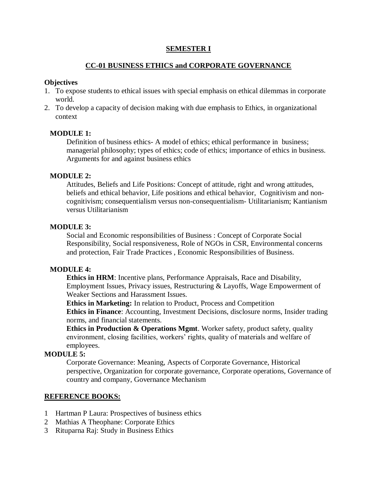#### **SEMESTER I**

#### **CC-01 BUSINESS ETHICS and CORPORATE GOVERNANCE**

#### **Objectives**

- 1. To expose students to ethical issues with special emphasis on ethical dilemmas in corporate world.
- 2. To develop a capacity of decision making with due emphasis to Ethics, in organizational context

#### **MODULE 1:**

Definition of business ethics- A model of ethics; ethical performance in business; managerial philosophy; types of ethics; code of ethics; importance of ethics in business. Arguments for and against business ethics

#### **MODULE 2:**

Attitudes, Beliefs and Life Positions: Concept of attitude, right and wrong attitudes, beliefs and ethical behavior, Life positions and ethical behavior, Cognitivism and noncognitivism; consequentialism versus non-consequentialism- Utilitarianism; Kantianism versus Utilitarianism

#### **MODULE 3:**

Social and Economic responsibilities of Business : Concept of Corporate Social Responsibility, Social responsiveness, Role of NGOs in CSR, Environmental concerns and protection, Fair Trade Practices , Economic Responsibilities of Business.

#### **MODULE 4:**

**Ethics in HRM**: Incentive plans, Performance Appraisals, Race and Disability, Employment Issues, Privacy issues, Restructuring & Layoffs, Wage Empowerment of Weaker Sections and Harassment Issues.

**Ethics in Marketing:** In relation to Product, Process and Competition **Ethics in Finance**: Accounting, Investment Decisions, disclosure norms, Insider trading norms, and financial statements.

**Ethics in Production & Operations Mgmt**. Worker safety, product safety, quality environment, closing facilities, workers' rights, quality of materials and welfare of employees.

#### **MODULE 5:**

Corporate Governance: Meaning, Aspects of Corporate Governance, Historical perspective, Organization for corporate governance, Corporate operations, Governance of country and company, Governance Mechanism

#### **REFERENCE BOOKS:**

- 1 Hartman P Laura: Prospectives of business ethics
- 2 Mathias A Theophane: Corporate Ethics
- 3 Rituparna Raj: Study in Business Ethics